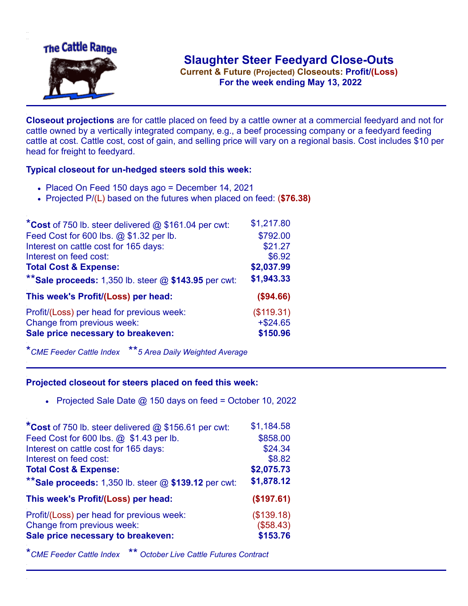

**Current & Future (Projected) Closeouts: Profit/(Loss)** .**For the week ending May 13, 2022**

**Closeout projections** are for cattle placed on feed by a cattle owner at a commercial feedyard and not for cattle owned by a vertically integrated company, e.g., a beef processing company or a feedyard feeding cattle at cost. Cattle cost, cost of gain, and selling price will vary on a regional basis. Cost includes \$10 per head for freight to feedyard.

## **Typical closeout for un-hedged steers sold this week:**

- Placed On Feed 150 days ago = December 14, 2021
- Projected P/(L) based on the futures when placed on feed: (**\$76.38)**

| *Cost of 750 lb. steer delivered $@$ \$161.04 per cwt:  | \$1,217.80  |
|---------------------------------------------------------|-------------|
| Feed Cost for 600 lbs. @ \$1.32 per lb.                 | \$792.00    |
| Interest on cattle cost for 165 days:                   | \$21.27     |
| Interest on feed cost:                                  | \$6.92      |
| <b>Total Cost &amp; Expense:</b>                        | \$2,037.99  |
| ** Sale proceeds: 1,350 lb. steer $@$ \$143.95 per cwt: | \$1,943.33  |
| This week's Profit/(Loss) per head:                     | (\$94.66)   |
| Profit/(Loss) per head for previous week:               | (\$119.31)  |
| Change from previous week:                              | $+$ \$24.65 |
| Sale price necessary to breakeven:                      | \$150.96    |

\**CME Feeder Cattle Index* \*\**5 Area Daily Weighted Average*

## **Projected closeout for steers placed on feed this week:**

• Projected Sale Date  $@$  150 days on feed = October 10, 2022

| *Cost of 750 lb. steer delivered @ \$156.61 per cwt:    | \$1,184.58 |
|---------------------------------------------------------|------------|
| Feed Cost for 600 lbs. @ \$1.43 per lb.                 | \$858.00   |
| Interest on cattle cost for 165 days:                   | \$24.34    |
| Interest on feed cost:                                  | \$8.82     |
| <b>Total Cost &amp; Expense:</b>                        | \$2,075.73 |
| ** Sale proceeds: 1,350 lb. steer $@$ \$139.12 per cwt: | \$1,878.12 |
| This week's Profit/(Loss) per head:                     | (\$197.61) |
| Profit/(Loss) per head for previous week:               | (\$139.18) |
| Change from previous week:                              | (\$58.43)  |
| Sale price necessary to breakeven:                      | \$153.76   |
|                                                         |            |

\**CME Feeder Cattle Index* \*\* *October Live Cattle Futures Contract*